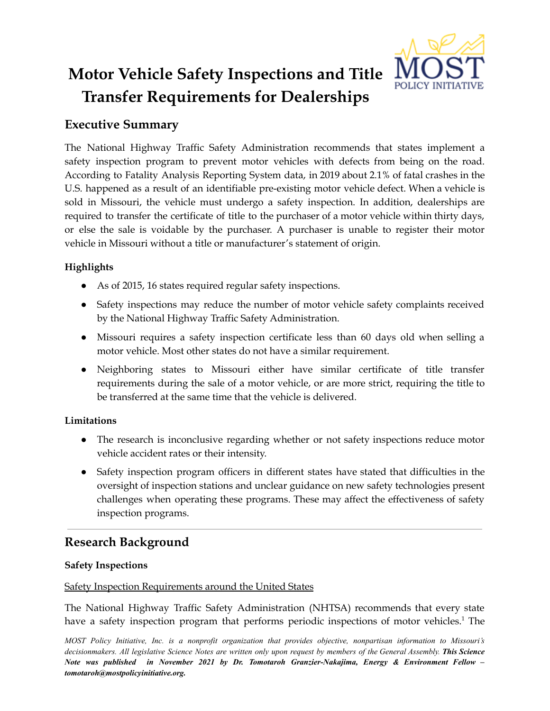# **Motor Vehicle Safety Inspections and Title Transfer Requirements for Dealerships**

# **Executive Summary**

The National Highway Traffic Safety Administration recommends that states implement a safety inspection program to prevent motor vehicles with defects from being on the road. According to Fatality Analysis Reporting System data, in 2019 about 2.1% of fatal crashes in the U.S. happened as a result of an identifiable pre-existing motor vehicle defect. When a vehicle is sold in Missouri, the vehicle must undergo a safety inspection. In addition, dealerships are required to transfer the certificate of title to the purchaser of a motor vehicle within thirty days, or else the sale is voidable by the purchaser. A purchaser is unable to register their motor vehicle in Missouri without a title or manufacturer's statement of origin.

# **Highlights**

- As of 2015, 16 states required regular safety inspections.
- Safety inspections may reduce the number of motor vehicle safety complaints received by the National Highway Traffic Safety Administration.
- Missouri requires a safety inspection certificate less than 60 days old when selling a motor vehicle. Most other states do not have a similar requirement.
- Neighboring states to Missouri either have similar certificate of title transfer requirements during the sale of a motor vehicle, or are more strict, requiring the title to be transferred at the same time that the vehicle is delivered.

## **Limitations**

- The research is inconclusive regarding whether or not safety inspections reduce motor vehicle accident rates or their intensity.
- Safety inspection program officers in different states have stated that difficulties in the oversight of inspection stations and unclear guidance on new safety technologies present challenges when operating these programs. These may affect the effectiveness of safety inspection programs.

# **Research Background**

## **Safety Inspections**

### Safety Inspection Requirements around the United States

The National Highway Traffic Safety Administration (NHTSA) recommends that every state have a safety inspection program that performs periodic inspections of motor vehicles.<sup>1</sup> The

*MOST Policy Initiative, Inc. is a nonprofit organization that provides objective, nonpartisan information to Missouri's* decisionmakers. All legislative Science Notes are written only upon request by members of the General Assembly. This Science *Note was published in November 2021 by Dr. Tomotaroh Granzier-Nakajima, Energy & Environment Fellow – tomotaroh@mostpolicyinitiative.org.*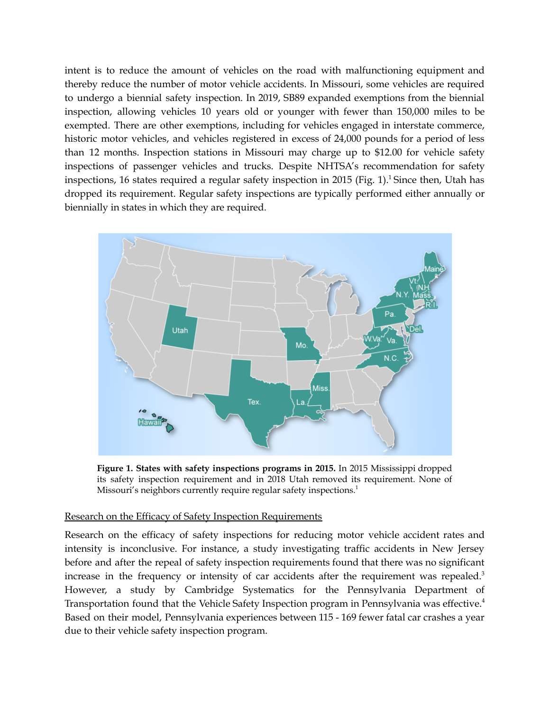intent is to reduce the amount of vehicles on the road with malfunctioning equipment and thereby reduce the number of motor vehicle accidents. In Missouri, some vehicles are required to undergo a biennial safety inspection. In 2019, SB89 expanded exemptions from the biennial inspection, allowing vehicles 10 years old or younger with fewer than 150,000 miles to be exempted. There are other exemptions, including for vehicles engaged in interstate commerce, historic motor vehicles, and vehicles registered in excess of 24,000 pounds for a period of less than 12 months. Inspection stations in Missouri may charge up to \$12.00 for vehicle safety inspections of passenger vehicles and trucks. Despite NHTSA's recommendation for safety inspections, 16 states required a regular safety inspection in 2015 (Fig. 1). <sup>1</sup> Since then, Utah has dropped its requirement. Regular safety inspections are typically performed either annually or biennially in states in which they are required.



**Figure 1. States with safety inspections programs in 2015.** In 2015 Mississippi dropped its safety inspection requirement and in 2018 Utah removed its requirement. None of Missouri's neighbors currently require regular safety inspections.<sup>1</sup>

#### Research on the Efficacy of Safety Inspection Requirements

Research on the efficacy of safety inspections for reducing motor vehicle accident rates and intensity is inconclusive. For instance, a study investigating traffic accidents in New Jersey before and after the repeal of safety inspection requirements found that there was no significant increase in the frequency or intensity of car accidents after the requirement was repealed.<sup>3</sup> However, a study by Cambridge Systematics for the Pennsylvania Department of Transportation found that the Vehicle Safety Inspection program in Pennsylvania was effective. 4 Based on their model, Pennsylvania experiences between 115 - 169 fewer fatal car crashes a year due to their vehicle safety inspection program.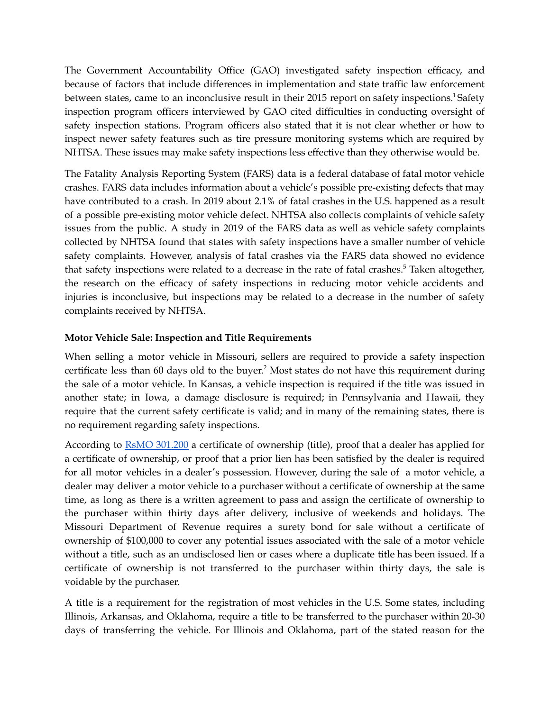The Government Accountability Office (GAO) investigated safety inspection efficacy, and because of factors that include differences in implementation and state traffic law enforcement between states, came to an inconclusive result in their 2015 report on safety inspections.<sup>1</sup>Safety inspection program officers interviewed by GAO cited difficulties in conducting oversight of safety inspection stations. Program officers also stated that it is not clear whether or how to inspect newer safety features such as tire pressure monitoring systems which are required by NHTSA. These issues may make safety inspections less effective than they otherwise would be.

The Fatality Analysis Reporting System (FARS) data is a federal database of fatal motor vehicle crashes. FARS data includes information about a vehicle's possible pre-existing defects that may have contributed to a crash. In 2019 about 2.1% of fatal crashes in the U.S. happened as a result of a possible pre-existing motor vehicle defect. NHTSA also collects complaints of vehicle safety issues from the public. A study in 2019 of the FARS data as well as vehicle safety complaints collected by NHTSA found that states with safety inspections have a smaller number of vehicle safety complaints. However, analysis of fatal crashes via the FARS data showed no evidence that safety inspections were related to a decrease in the rate of fatal crashes. <sup>5</sup> Taken altogether, the research on the efficacy of safety inspections in reducing motor vehicle accidents and injuries is inconclusive, but inspections may be related to a decrease in the number of safety complaints received by NHTSA.

#### **Motor Vehicle Sale: Inspection and Title Requirements**

When selling a motor vehicle in Missouri, sellers are required to provide a safety inspection certificate less than 60 days old to the buyer. <sup>2</sup> Most states do not have this requirement during the sale of a motor vehicle. In Kansas, a vehicle inspection is required if the title was issued in another state; in Iowa, a damage disclosure is required; in Pennsylvania and Hawaii, they require that the current safety certificate is valid; and in many of the remaining states, there is no requirement regarding safety inspections.

According to **RsMO [301.200](https://revisor.mo.gov/main/OneSection.aspx?section=301.200)** a certificate of ownership (title), proof that a dealer has applied for a certificate of ownership, or proof that a prior lien has been satisfied by the dealer is required for all motor vehicles in a dealer's possession. However, during the sale of a motor vehicle, a dealer may deliver a motor vehicle to a purchaser without a certificate of ownership at the same time, as long as there is a written agreement to pass and assign the certificate of ownership to the purchaser within thirty days after delivery, inclusive of weekends and holidays. The Missouri Department of Revenue requires a surety bond for sale without a certificate of ownership of \$100,000 to cover any potential issues associated with the sale of a motor vehicle without a title, such as an undisclosed lien or cases where a duplicate title has been issued. If a certificate of ownership is not transferred to the purchaser within thirty days, the sale is voidable by the purchaser.

A title is a requirement for the registration of most vehicles in the U.S. Some states, including Illinois, Arkansas, and Oklahoma, require a title to be transferred to the purchaser within 20-30 days of transferring the vehicle. For Illinois and Oklahoma, part of the stated reason for the